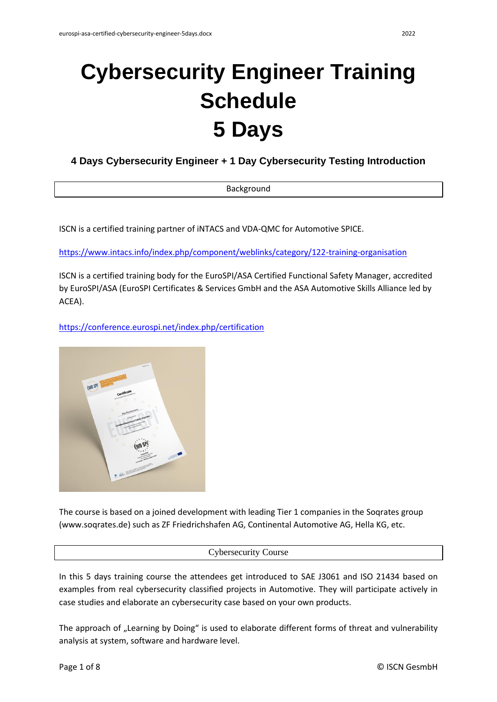# **Cybersecurity Engineer Training Schedule 5 Days**

**4 Days Cybersecurity Engineer + 1 Day Cybersecurity Testing Introduction**

| Background |
|------------|
|            |

ISCN is a certified training partner of iNTACS and VDA-QMC for Automotive SPICE.

<https://www.intacs.info/index.php/component/weblinks/category/122-training-organisation>

ISCN is a certified training body for the EuroSPI/ASA Certified Functional Safety Manager, accredited by EuroSPI/ASA (EuroSPI Certificates & Services GmbH and the ASA Automotive Skills Alliance led by ACEA).

<https://conference.eurospi.net/index.php/certification>



The course is based on a joined development with leading Tier 1 companies in the Soqrates group (www.soqrates.de) such as ZF Friedrichshafen AG, Continental Automotive AG, Hella KG, etc.

# Cybersecurity Course

In this 5 days training course the attendees get introduced to SAE J3061 and ISO 21434 based on examples from real cybersecurity classified projects in Automotive. They will participate actively in case studies and elaborate an cybersecurity case based on your own products.

The approach of "Learning by Doing" is used to elaborate different forms of threat and vulnerability analysis at system, software and hardware level.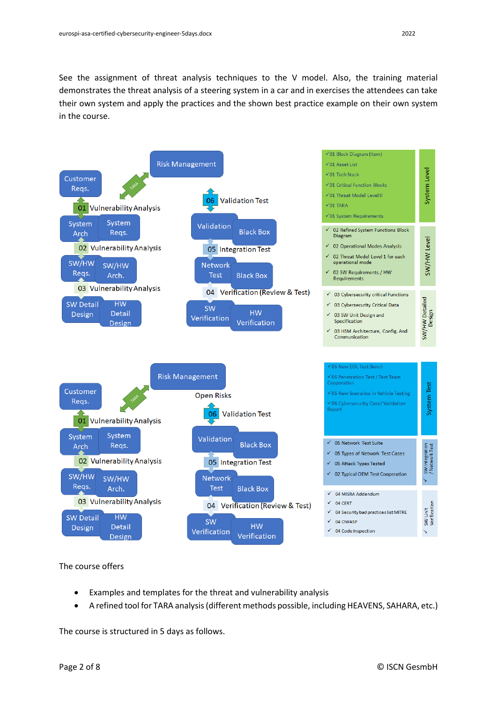See the assignment of threat analysis techniques to the V model. Also, the training material demonstrates the threat analysis of a steering system in a car and in exercises the attendees can take their own system and apply the practices and the shown best practice example on their own system in the course.



The course offers

- Examples and templates for the threat and vulnerability analysis
- A refined tool for TARA analysis (different methods possible, including HEAVENS, SAHARA, etc.)

The course is structured in 5 days as follows.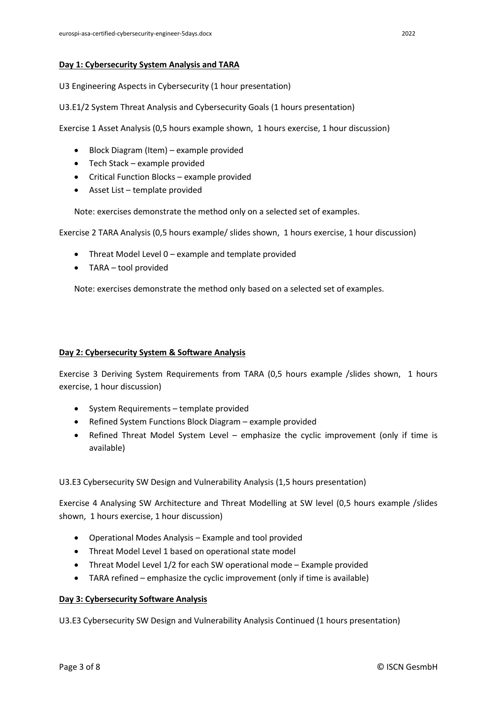# **Day 1: Cybersecurity System Analysis and TARA**

U3 Engineering Aspects in Cybersecurity (1 hour presentation)

U3.E1/2 System Threat Analysis and Cybersecurity Goals (1 hours presentation)

Exercise 1 Asset Analysis (0,5 hours example shown, 1 hours exercise, 1 hour discussion)

- Block Diagram (Item) example provided
- Tech Stack example provided
- Critical Function Blocks example provided
- Asset List template provided

Note: exercises demonstrate the method only on a selected set of examples.

Exercise 2 TARA Analysis (0,5 hours example/ slides shown, 1 hours exercise, 1 hour discussion)

- Threat Model Level 0 example and template provided
- TARA tool provided

Note: exercises demonstrate the method only based on a selected set of examples.

## **Day 2: Cybersecurity System & Software Analysis**

Exercise 3 Deriving System Requirements from TARA (0,5 hours example /slides shown, 1 hours exercise, 1 hour discussion)

- System Requirements template provided
- Refined System Functions Block Diagram example provided
- Refined Threat Model System Level emphasize the cyclic improvement (only if time is available)

U3.E3 Cybersecurity SW Design and Vulnerability Analysis (1,5 hours presentation)

Exercise 4 Analysing SW Architecture and Threat Modelling at SW level (0,5 hours example /slides shown, 1 hours exercise, 1 hour discussion)

- Operational Modes Analysis Example and tool provided
- Threat Model Level 1 based on operational state model
- Threat Model Level 1/2 for each SW operational mode Example provided
- TARA refined emphasize the cyclic improvement (only if time is available)

## **Day 3: Cybersecurity Software Analysis**

U3.E3 Cybersecurity SW Design and Vulnerability Analysis Continued (1 hours presentation)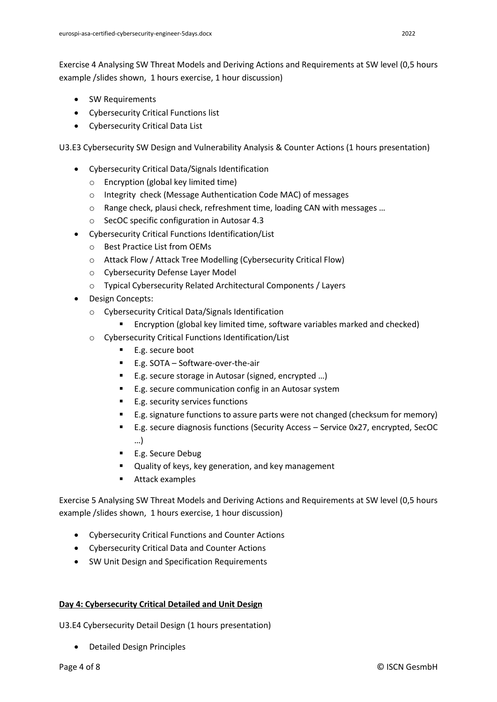Exercise 4 Analysing SW Threat Models and Deriving Actions and Requirements at SW level (0,5 hours example /slides shown, 1 hours exercise, 1 hour discussion)

- SW Requirements
- Cybersecurity Critical Functions list
- Cybersecurity Critical Data List

U3.E3 Cybersecurity SW Design and Vulnerability Analysis & Counter Actions (1 hours presentation)

- Cybersecurity Critical Data/Signals Identification
	- o Encryption (global key limited time)
	- o Integrity check (Message Authentication Code MAC) of messages
	- $\circ$  Range check, plausi check, refreshment time, loading CAN with messages ...
	- o SecOC specific configuration in Autosar 4.3
- Cybersecurity Critical Functions Identification/List
	- o Best Practice List from OEMs
	- o Attack Flow / Attack Tree Modelling (Cybersecurity Critical Flow)
	- o Cybersecurity Defense Layer Model
	- o Typical Cybersecurity Related Architectural Components / Layers
- Design Concepts:
	- o Cybersecurity Critical Data/Signals Identification
		- Encryption (global key limited time, software variables marked and checked)
	- o Cybersecurity Critical Functions Identification/List
		- E.g. secure boot
		- E.g. SOTA Software-over-the-air
		- E.g. secure storage in Autosar (signed, encrypted ...)
		- E.g. secure communication config in an Autosar system
		- E.g. security services functions
		- E.g. signature functions to assure parts were not changed (checksum for memory)
		- E.g. secure diagnosis functions (Security Access Service 0x27, encrypted, SecOC …)
		- E.g. Secure Debug
		- Quality of keys, key generation, and key management
		- Attack examples

Exercise 5 Analysing SW Threat Models and Deriving Actions and Requirements at SW level (0,5 hours example /slides shown, 1 hours exercise, 1 hour discussion)

- Cybersecurity Critical Functions and Counter Actions
- Cybersecurity Critical Data and Counter Actions
- SW Unit Design and Specification Requirements

# **Day 4: Cybersecurity Critical Detailed and Unit Design**

U3.E4 Cybersecurity Detail Design (1 hours presentation)

• Detailed Design Principles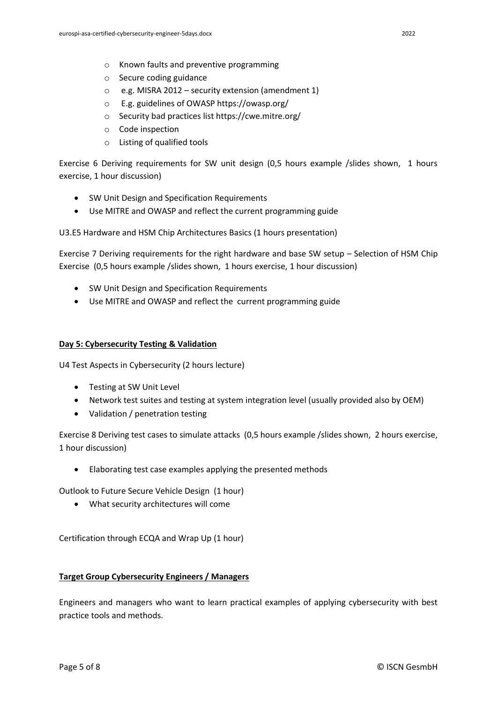- o Secure coding guidance
- o e.g. MISRA 2012 security extension (amendment 1)
- o E.g. guidelines of OWASP<https://owasp.org/>
- o Security bad practices list<https://cwe.mitre.org/>
- o Code inspection
- o Listing of qualified tools

Exercise 6 Deriving requirements for SW unit design (0,5 hours example /slides shown, 1 hours exercise, 1 hour discussion)

- SW Unit Design and Specification Requirements
- Use MITRE and OWASP and reflect the current programming guide

U3.E5 Hardware and HSM Chip Architectures Basics (1 hours presentation)

Exercise 7 Deriving requirements for the right hardware and base SW setup – Selection of HSM Chip Exercise (0,5 hours example /slides shown, 1 hours exercise, 1 hour discussion)

- SW Unit Design and Specification Requirements
- Use MITRE and OWASP and reflect the current programming guide

# **Day 5: Cybersecurity Testing & Validation**

U4 Test Aspects in Cybersecurity (2 hours lecture)

- Testing at SW Unit Level
- Network test suites and testing at system integration level (usually provided also by OEM)
- Validation / penetration testing

Exercise 8 Deriving test cases to simulate attacks (0,5 hours example /slides shown, 2 hours exercise, 1 hour discussion)

• Elaborating test case examples applying the presented methods

Outlook to Future Secure Vehicle Design (1 hour)

• What security architectures will come

Certification through ECQA and Wrap Up (1 hour)

## **Target Group Cybersecurity Engineers / Managers**

Engineers and managers who want to learn practical examples of applying cybersecurity with best practice tools and methods.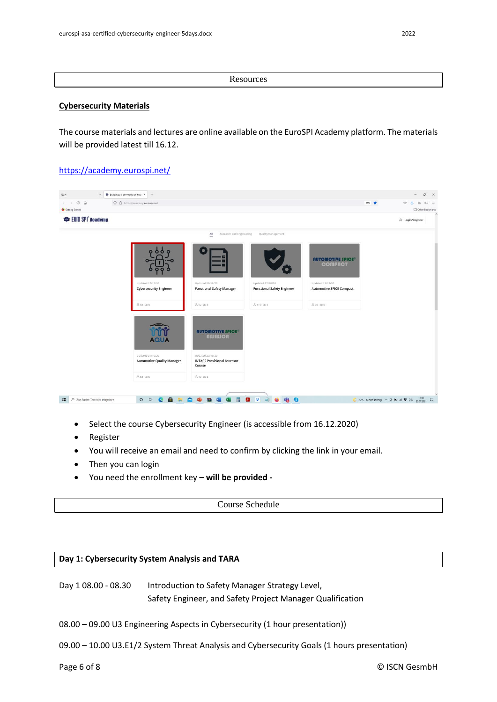**Resources** 

#### **Cybersecurity Materials**

The course materials and lectures are online available on the EuroSPI Academy platform. The materials will be provided latest till 16.12.

# <https://academy.eurospi.net/>



- Select the course Cybersecurity Engineer (is accessible from 16.12.2020)
- Register
- You will receive an email and need to confirm by clicking the link in your email.
- Then you can login
- You need the enrollment key **– will be provided -**

Course Schedule

## **Day 1: Cybersecurity System Analysis and TARA**

Day 1 08.00 - 08.30 Introduction to Safety Manager Strategy Level, Safety Engineer, and Safety Project Manager Qualification

- 08.00 09.00 U3 Engineering Aspects in Cybersecurity (1 hour presentation))
- 09.00 10.00 U3.E1/2 System Threat Analysis and Cybersecurity Goals (1 hours presentation)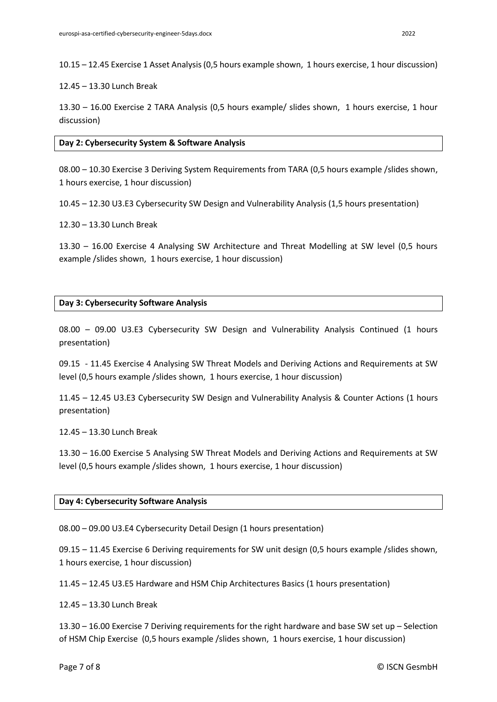10.15 – 12.45 Exercise 1 Asset Analysis (0,5 hours example shown, 1 hours exercise, 1 hour discussion)

12.45 – 13.30 Lunch Break

13.30 – 16.00 Exercise 2 TARA Analysis (0,5 hours example/ slides shown, 1 hours exercise, 1 hour discussion)

**Day 2: Cybersecurity System & Software Analysis**

08.00 – 10.30 Exercise 3 Deriving System Requirements from TARA (0,5 hours example /slides shown, 1 hours exercise, 1 hour discussion)

10.45 – 12.30 U3.E3 Cybersecurity SW Design and Vulnerability Analysis (1,5 hours presentation)

12.30 – 13.30 Lunch Break

13.30 – 16.00 Exercise 4 Analysing SW Architecture and Threat Modelling at SW level (0,5 hours example /slides shown, 1 hours exercise, 1 hour discussion)

# **Day 3: Cybersecurity Software Analysis**

08.00 – 09.00 U3.E3 Cybersecurity SW Design and Vulnerability Analysis Continued (1 hours presentation)

09.15 - 11.45 Exercise 4 Analysing SW Threat Models and Deriving Actions and Requirements at SW level (0,5 hours example /slides shown, 1 hours exercise, 1 hour discussion)

11.45 – 12.45 U3.E3 Cybersecurity SW Design and Vulnerability Analysis & Counter Actions (1 hours presentation)

12.45 – 13.30 Lunch Break

13.30 – 16.00 Exercise 5 Analysing SW Threat Models and Deriving Actions and Requirements at SW level (0,5 hours example /slides shown, 1 hours exercise, 1 hour discussion)

## **Day 4: Cybersecurity Software Analysis**

08.00 – 09.00 U3.E4 Cybersecurity Detail Design (1 hours presentation)

09.15 – 11.45 Exercise 6 Deriving requirements for SW unit design (0,5 hours example /slides shown, 1 hours exercise, 1 hour discussion)

11.45 – 12.45 U3.E5 Hardware and HSM Chip Architectures Basics (1 hours presentation)

12.45 – 13.30 Lunch Break

13.30 – 16.00 Exercise 7 Deriving requirements for the right hardware and base SW set up – Selection of HSM Chip Exercise (0,5 hours example /slides shown, 1 hours exercise, 1 hour discussion)